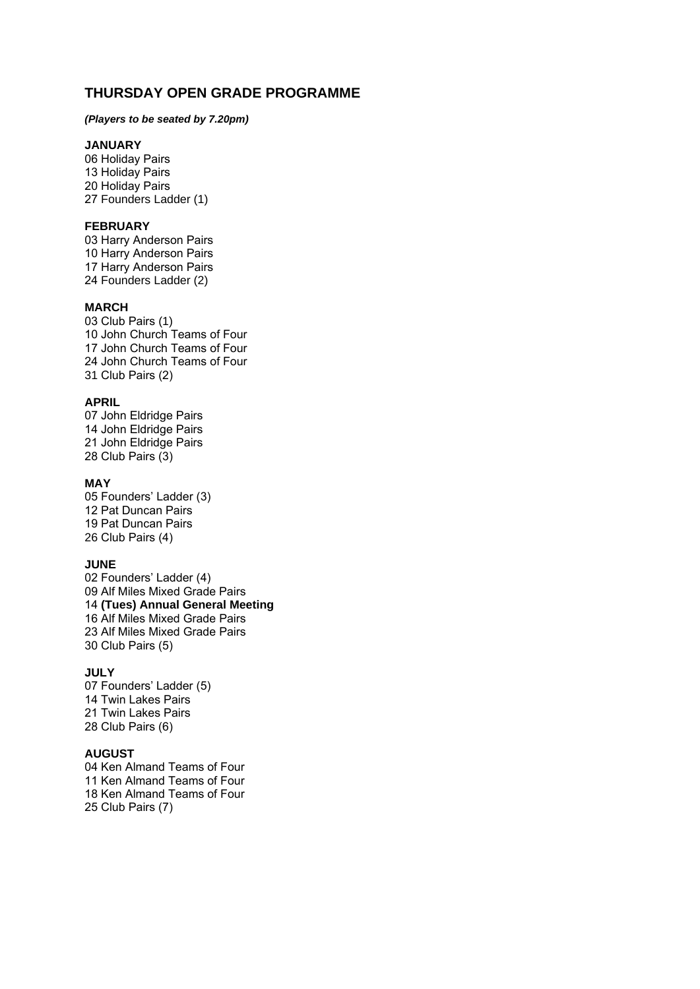# **THURSDAY OPEN GRADE PROGRAMME**

### *(Players to be seated by 7.20pm)*

## **JANUARY**

06 Holiday Pairs 13 Holiday Pairs 20 Holiday Pairs 27 Founders Ladder (1)

### **FEBRUARY**

03 Harry Anderson Pairs 10 Harry Anderson Pairs 17 Harry Anderson Pairs 24 Founders Ladder (2)

#### **MARCH**

03 Club Pairs (1) 10 John Church Teams of Four 17 John Church Teams of Four 24 John Church Teams of Four 31 Club Pairs (2)

#### **APRIL**

07 John Eldridge Pairs 14 John Eldridge Pairs 21 John Eldridge Pairs 28 Club Pairs (3)

## **MAY**

05 Founders' Ladder (3) 12 Pat Duncan Pairs 19 Pat Duncan Pairs 26 Club Pairs (4)

#### **JUNE**

02 Founders' Ladder (4) 09 Alf Miles Mixed Grade Pairs 14 **(Tues) Annual General Meeting** 16 Alf Miles Mixed Grade Pairs 23 Alf Miles Mixed Grade Pairs 30 Club Pairs (5)

#### **JULY**

07 Founders' Ladder (5) 14 Twin Lakes Pairs 21 Twin Lakes Pairs 28 Club Pairs (6)

### **AUGUST**

04 Ken Almand Teams of Four 11 Ken Almand Teams of Four 18 Ken Almand Teams of Four 25 Club Pairs (7)